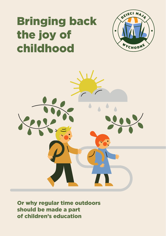# Bringing back the joy of childhood





Or why regular time outdoors should be made a part of children's education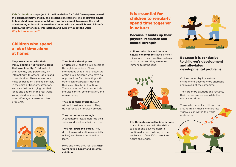**Kids Go Outdoor is a project of the Foundation for Child Development aimed at parents, primary schools, and preschool institutions. We encourage adults to take children on regular outdoor trips once a week to explore the world of nature regardless of the weather. Contact with nature will boost children's energy, the joy of social interactions, and curiosity about the world. Why is it so important?**

# Children who spend a lot of time alone at home:

**They lose contact with their milieu and find it difficult to build their own identity.** Children build their identity and personality by interacting with others – adults and other children. These interactions must be based on genuine contact, in the spirit of freedom, attention, and care. Without trying out their ideas and actions in the real world, young children cannot build a true self-image or learn to solve problems.

#### **Their brains develop less**

**effectively.** A child's brain develops through interactions. These interactions shape the architecture of the brain. Children who have no opportunities for interacting with others cannot properly develop their executive brain functions. These executive functions include impulse control, concentration, and remembering.

**They spoil their eyesight.** Even without looking at screens. They do not focus on far-away objects.

**They do not move enough.**  A sedentary lifestyle deforms their spines and weakens their muscles.

**They feel tired and bored.** They do not enjoy education (especially online) and have no motivation to learn.

More and more they feel that **they won't have a happy and carefree childhood.**

# It is essential for children to regularly spend time together in nature:

#### Because it builds up their physical resilience and mental strength

**Children who play and learn in natural environments** have a richer microflora – their digestive systems work better, and they are more immune to pathogens.



**It is through supportive interactions**  that children can build the ability to adapt and develop despite continued stress, building up the resilience to face life's current and future challenges.



#### Because it is conducive to children's development and alleviates developmental problems

Children who play in a natural environment become more energetic and relaxed at the same time

They are more cautious and focused, their senses are sharper while the minds are calmer.

Those who cannot sit still can run around freely; those who are less vigorous can watch the world undisturbed.